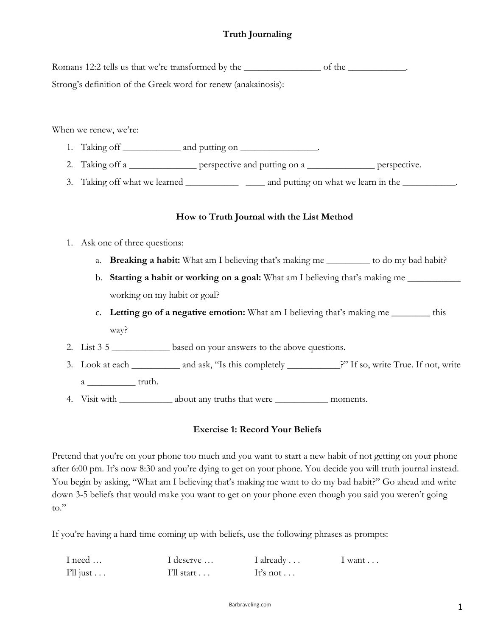# **Truth Journaling**

| Strong's definition of the Greek word for renew (anakainosis): |                                                                                                   |  |  |
|----------------------------------------------------------------|---------------------------------------------------------------------------------------------------|--|--|
|                                                                |                                                                                                   |  |  |
|                                                                |                                                                                                   |  |  |
| When we renew, we're:                                          |                                                                                                   |  |  |
|                                                                | 1. Taking off _______________ and putting on _________________.                                   |  |  |
| 2.                                                             | Taking off a _______________ perspective and putting on a _______________ perspective.            |  |  |
| 3.                                                             | Taking off what we learned ____________________ and putting on what we learn in the ____________. |  |  |
|                                                                |                                                                                                   |  |  |
|                                                                | How to Truth Journal with the List Method                                                         |  |  |
| 1.                                                             | Ask one of three questions:                                                                       |  |  |
| a.                                                             | <b>Breaking a habit:</b> What am I believing that's making me __________ to do my bad habit?      |  |  |
| b.                                                             | <b>Starting a habit or working on a goal:</b> What am I believing that's making me                |  |  |
|                                                                | working on my habit or goal?                                                                      |  |  |
| C <sub>1</sub>                                                 | <b>Letting go of a negative emotion:</b> What am I believing that's making me ________ this       |  |  |
|                                                                | way?                                                                                              |  |  |
|                                                                |                                                                                                   |  |  |

- 2. List 3-5 \_\_\_\_\_\_\_\_\_\_\_\_\_ based on your answers to the above questions.
- 3. Look at each \_\_\_\_\_\_\_\_\_\_ and ask, "Is this completely \_\_\_\_\_\_\_\_\_\_\_?" If so, write True. If not, write a truth.
- 4. Visit with \_\_\_\_\_\_\_\_\_\_\_\_\_ about any truths that were \_\_\_\_\_\_\_\_\_\_\_\_\_\_\_\_\_\_\_ moments.

## **Exercise 1: Record Your Beliefs**

Pretend that you're on your phone too much and you want to start a new habit of not getting on your phone after 6:00 pm. It's now 8:30 and you're dying to get on your phone. You decide you will truth journal instead. You begin by asking, "What am I believing that's making me want to do my bad habit?" Go ahead and write down 3-5 beliefs that would make you want to get on your phone even though you said you weren't going to."

If you're having a hard time coming up with beliefs, use the following phrases as prompts:

| I need             | I deserve             | I already | $1$ want $\ldots$ |
|--------------------|-----------------------|-----------|-------------------|
| $I'll just \ldots$ | $I'll$ start $\ldots$ | It's not  |                   |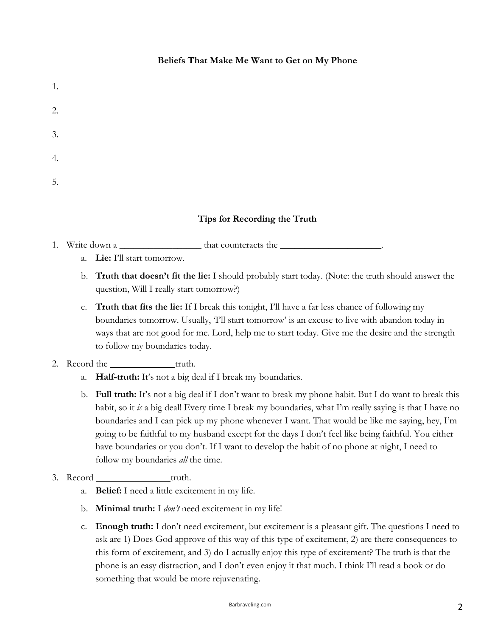## **Beliefs That Make Me Want to Get on My Phone**

| 1. |  |  |  |
|----|--|--|--|
| 2. |  |  |  |
| 3. |  |  |  |
| 4. |  |  |  |
| 5. |  |  |  |

## **Tips for Recording the Truth**

- 1. Write down a \_\_\_\_\_\_\_\_\_\_\_\_\_\_\_\_\_ that counteracts the \_\_\_\_\_\_\_\_\_\_\_\_\_\_\_\_\_\_\_\_\_.
	- a. **Lie:** I'll start tomorrow.
	- b. **Truth that doesn't fit the lie:** I should probably start today. (Note: the truth should answer the question, Will I really start tomorrow?)
	- c. **Truth that fits the lie:** If I break this tonight, I'll have a far less chance of following my boundaries tomorrow. Usually, 'I'll start tomorrow' is an excuse to live with abandon today in ways that are not good for me. Lord, help me to start today. Give me the desire and the strength to follow my boundaries today.

## 2. Record the <u>same set of the set of the set of the set of the set of the set of the set of the set of the set of the set of the set of the set of the set of the set of the set of the set of the set of the set of the set </u>

- a. **Half-truth:** It's not a big deal if I break my boundaries.
- b. **Full truth:** It's not a big deal if I don't want to break my phone habit. But I do want to break this habit, so it *is* a big deal! Every time I break my boundaries, what I'm really saying is that I have no boundaries and I can pick up my phone whenever I want. That would be like me saying, hey, I'm going to be faithful to my husband except for the days I don't feel like being faithful. You either have boundaries or you don't. If I want to develop the habit of no phone at night, I need to follow my boundaries *all* the time.

### 3. Record \_\_\_\_\_\_\_\_\_\_\_\_\_\_\_ truth.

- a. **Belief:** I need a little excitement in my life.
- b. **Minimal truth:** I *don't* need excitement in my life!
- c. **Enough truth:** I don't need excitement, but excitement is a pleasant gift. The questions I need to ask are 1) Does God approve of this way of this type of excitement, 2) are there consequences to this form of excitement, and 3) do I actually enjoy this type of excitement? The truth is that the phone is an easy distraction, and I don't even enjoy it that much. I think I'll read a book or do something that would be more rejuvenating.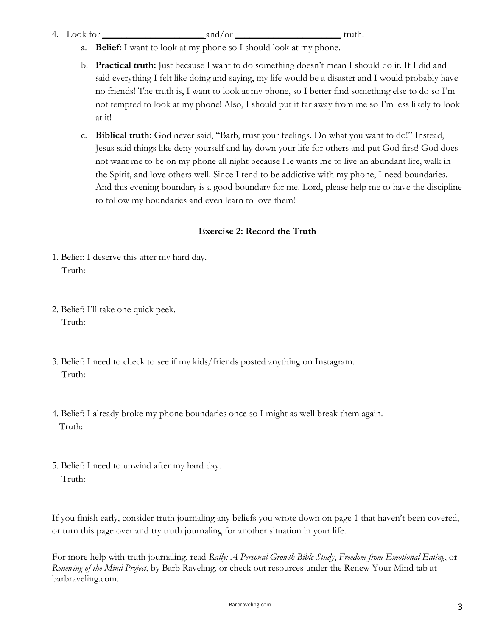- 4. Look for  $\text{and/or}$  and/or  $\text{truth.}$ 
	- a. **Belief:** I want to look at my phone so I should look at my phone.
	- b. **Practical truth:** Just because I want to do something doesn't mean I should do it. If I did and said everything I felt like doing and saying, my life would be a disaster and I would probably have no friends! The truth is, I want to look at my phone, so I better find something else to do so I'm not tempted to look at my phone! Also, I should put it far away from me so I'm less likely to look at it!
	- c. **Biblical truth:** God never said, "Barb, trust your feelings. Do what you want to do!" Instead, Jesus said things like deny yourself and lay down your life for others and put God first! God does not want me to be on my phone all night because He wants me to live an abundant life, walk in the Spirit, and love others well. Since I tend to be addictive with my phone, I need boundaries. And this evening boundary is a good boundary for me. Lord, please help me to have the discipline to follow my boundaries and even learn to love them!

# **Exercise 2: Record the Truth**

- 1. Belief: I deserve this after my hard day. Truth:
- 2. Belief: I'll take one quick peek. Truth:
- 3. Belief: I need to check to see if my kids/friends posted anything on Instagram. Truth:
- 4. Belief: I already broke my phone boundaries once so I might as well break them again. Truth:
- 5. Belief: I need to unwind after my hard day. Truth:

If you finish early, consider truth journaling any beliefs you wrote down on page 1 that haven't been covered, or turn this page over and try truth journaling for another situation in your life.

For more help with truth journaling, read *Rally: A Personal Growth Bible Study*, *Freedom from Emotional Eating*, or *Renewing of the Mind Project*, by Barb Raveling, or check out resources under the Renew Your Mind tab at barbraveling.com.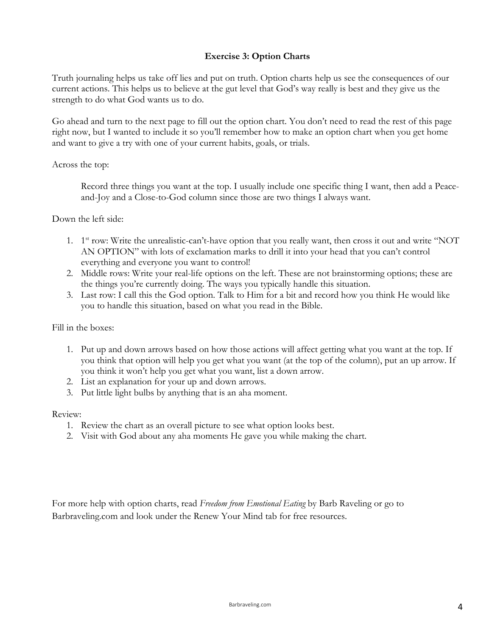## **Exercise 3: Option Charts**

Truth journaling helps us take off lies and put on truth. Option charts help us see the consequences of our current actions. This helps us to believe at the gut level that God's way really is best and they give us the strength to do what God wants us to do.

Go ahead and turn to the next page to fill out the option chart. You don't need to read the rest of this page right now, but I wanted to include it so you'll remember how to make an option chart when you get home and want to give a try with one of your current habits, goals, or trials.

### Across the top:

Record three things you want at the top. I usually include one specific thing I want, then add a Peaceand-Joy and a Close-to-God column since those are two things I always want.

### Down the left side:

- 1. 1st row: Write the unrealistic-can't-have option that you really want, then cross it out and write "NOT AN OPTION" with lots of exclamation marks to drill it into your head that you can't control everything and everyone you want to control!
- 2. Middle rows: Write your real-life options on the left. These are not brainstorming options; these are the things you're currently doing. The ways you typically handle this situation.
- 3. Last row: I call this the God option. Talk to Him for a bit and record how you think He would like you to handle this situation, based on what you read in the Bible.

### Fill in the boxes:

- 1. Put up and down arrows based on how those actions will affect getting what you want at the top. If you think that option will help you get what you want (at the top of the column), put an up arrow. If you think it won't help you get what you want, list a down arrow.
- 2. List an explanation for your up and down arrows.
- 3. Put little light bulbs by anything that is an aha moment.

#### Review:

- 1. Review the chart as an overall picture to see what option looks best.
- 2. Visit with God about any aha moments He gave you while making the chart.

For more help with option charts, read *Freedom from Emotional Eating* by Barb Raveling or go to Barbraveling.com and look under the Renew Your Mind tab for free resources.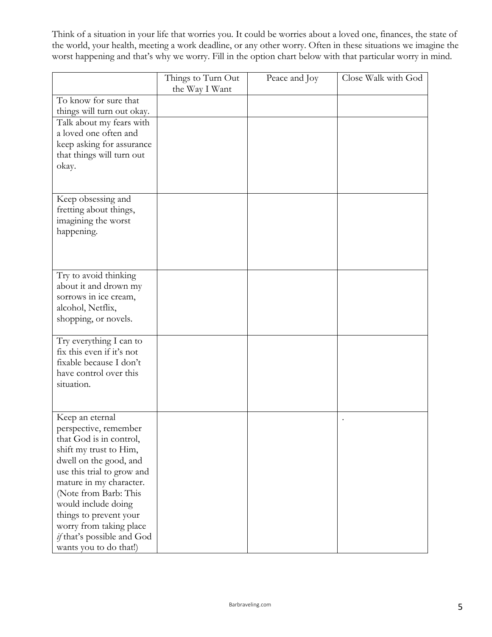Think of a situation in your life that worries you. It could be worries about a loved one, finances, the state of the world, your health, meeting a work deadline, or any other worry. Often in these situations we imagine the worst happening and that's why we worry. Fill in the option chart below with that particular worry in mind.

| the Way I Want<br>To know for sure that<br>things will turn out okay.<br>Talk about my fears with<br>a loved one often and |
|----------------------------------------------------------------------------------------------------------------------------|
|                                                                                                                            |
|                                                                                                                            |
|                                                                                                                            |
| keep asking for assurance<br>that things will turn out                                                                     |
| okay.                                                                                                                      |
|                                                                                                                            |
| Keep obsessing and                                                                                                         |
| fretting about things,<br>imagining the worst                                                                              |
| happening.                                                                                                                 |
|                                                                                                                            |
|                                                                                                                            |
| Try to avoid thinking                                                                                                      |
| about it and drown my<br>sorrows in ice cream,                                                                             |
| alcohol, Netflix,                                                                                                          |
| shopping, or novels.                                                                                                       |
|                                                                                                                            |
| Try everything I can to<br>fix this even if it's not                                                                       |
| fixable because I don't                                                                                                    |
| have control over this                                                                                                     |
| situation.                                                                                                                 |
|                                                                                                                            |
| Keep an eternal                                                                                                            |
| perspective, remember<br>that God is in control,                                                                           |
| shift my trust to Him,                                                                                                     |
| dwell on the good, and                                                                                                     |
| use this trial to grow and                                                                                                 |
| mature in my character.                                                                                                    |
| (Note from Barb: This<br>would include doing                                                                               |
| things to prevent your                                                                                                     |
| worry from taking place                                                                                                    |
| if that's possible and God<br>wants you to do that!)                                                                       |